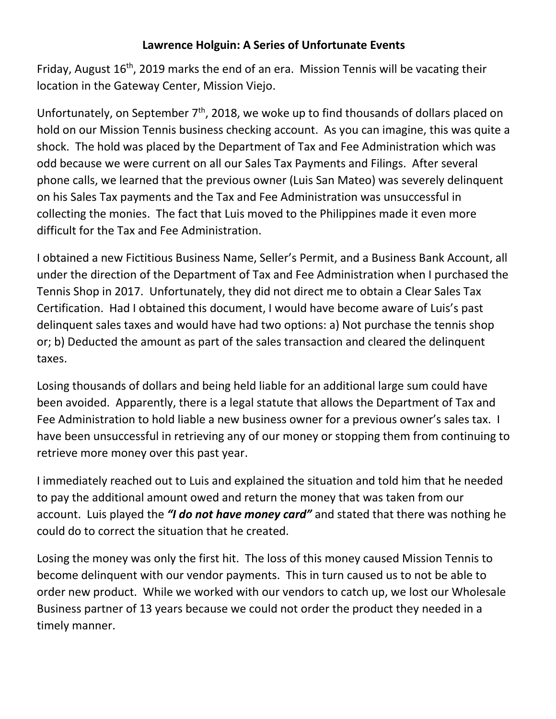## **Lawrence Holguin: A Series of Unfortunate Events**

Friday, August  $16<sup>th</sup>$ , 2019 marks the end of an era. Mission Tennis will be vacating their location in the Gateway Center, Mission Viejo.

Unfortunately, on September 7<sup>th</sup>, 2018, we woke up to find thousands of dollars placed on hold on our Mission Tennis business checking account. As you can imagine, this was quite a shock. The hold was placed by the Department of Tax and Fee Administration which was odd because we were current on all our Sales Tax Payments and Filings. After several phone calls, we learned that the previous owner (Luis San Mateo) was severely delinquent on his Sales Tax payments and the Tax and Fee Administration was unsuccessful in collecting the monies. The fact that Luis moved to the Philippines made it even more difficult for the Tax and Fee Administration.

I obtained a new Fictitious Business Name, Seller's Permit, and a Business Bank Account, all under the direction of the Department of Tax and Fee Administration when I purchased the Tennis Shop in 2017. Unfortunately, they did not direct me to obtain a Clear Sales Tax Certification. Had I obtained this document, I would have become aware of Luis's past delinquent sales taxes and would have had two options: a) Not purchase the tennis shop or; b) Deducted the amount as part of the sales transaction and cleared the delinquent taxes.

Losing thousands of dollars and being held liable for an additional large sum could have been avoided. Apparently, there is a legal statute that allows the Department of Tax and Fee Administration to hold liable a new business owner for a previous owner's sales tax. I have been unsuccessful in retrieving any of our money or stopping them from continuing to retrieve more money over this past year.

I immediately reached out to Luis and explained the situation and told him that he needed to pay the additional amount owed and return the money that was taken from our account. Luis played the *"I do not have money card"* and stated that there was nothing he could do to correct the situation that he created.

Losing the money was only the first hit. The loss of this money caused Mission Tennis to become delinquent with our vendor payments. This in turn caused us to not be able to order new product. While we worked with our vendors to catch up, we lost our Wholesale Business partner of 13 years because we could not order the product they needed in a timely manner.